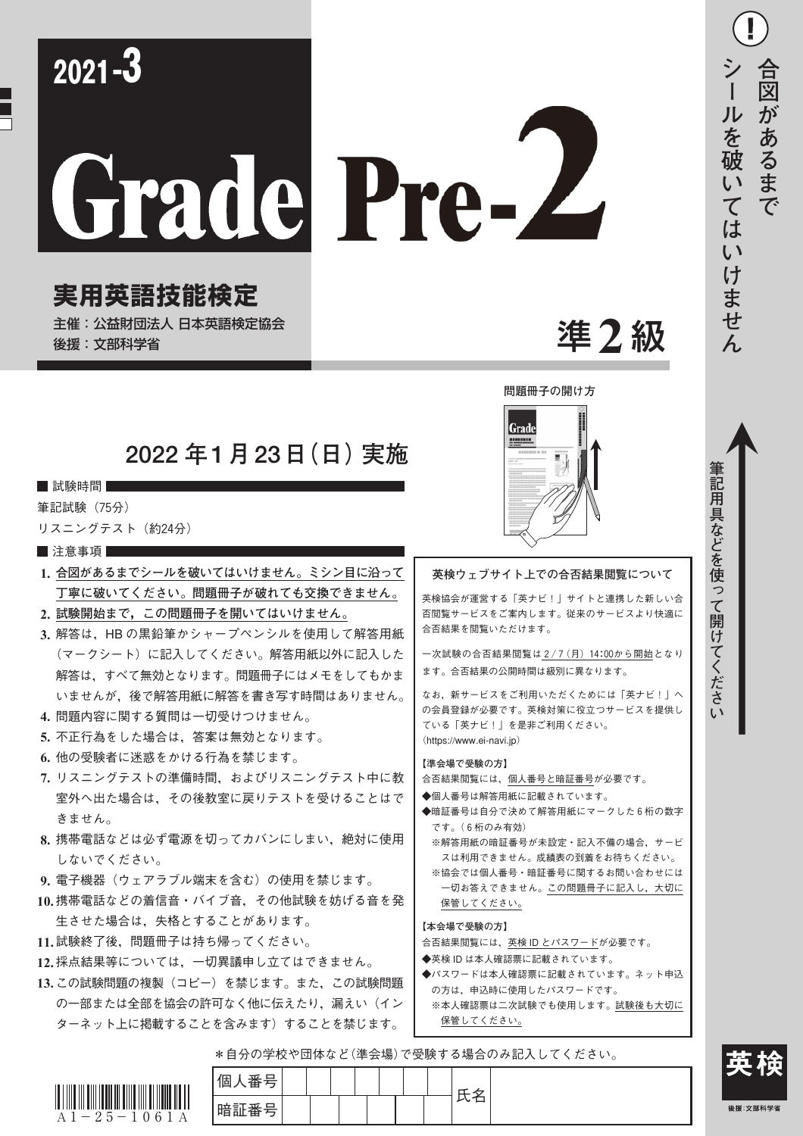| $2021 - 3$<br>Grade Pre-Z<br>実用英語技能検定<br>主催:公益財団法人 日本英語検定協会<br>後援:文部科学省                                                                                                                                                                                                                                                                                                                                                                                                                                                                                                                                                                                                                                                                                                                              | 準2級                                                                                                                                                                                                                                                                                                                                                                                                                                                                                                                                                                                                                                                                                                                                      | 台<br>図<br>があるまで<br>を<br>破<br>は<br>$\overline{C}$<br>けません |
|------------------------------------------------------------------------------------------------------------------------------------------------------------------------------------------------------------------------------------------------------------------------------------------------------------------------------------------------------------------------------------------------------------------------------------------------------------------------------------------------------------------------------------------------------------------------------------------------------------------------------------------------------------------------------------------------------------------------------------------------------------------------------------------------------|------------------------------------------------------------------------------------------------------------------------------------------------------------------------------------------------------------------------------------------------------------------------------------------------------------------------------------------------------------------------------------------------------------------------------------------------------------------------------------------------------------------------------------------------------------------------------------------------------------------------------------------------------------------------------------------------------------------------------------------|----------------------------------------------------------|
| 2022 年1月23日(日) 実施<br>■ 試験時間<br>筆記試験 (75分)<br>リスニングテスト (約24分)<br>■ 注意事項<br>1. 合図があるまでシールを破いてはいけません。ミシン目に沿って<br>丁寧に破いてください。問題冊子が破れても交換できません。<br>2. 試験開始まで, この問題冊子を開いてはいけません。<br>3. 解答は, HB の黒鉛筆かシャープペンシルを使用して解答用紙<br>(マークシート)に記入してください。解答用紙以外に記入した<br>解答は、すべて無効となります。問題冊子にはメモをしてもかま<br>いませんが、後で解答用紙に解答を書き写す時間はありません。<br>4. 問題内容に関する質問は一切受けつけません。<br>5. 不正行為をした場合は, 答案は無効となります。<br>6. 他の受験者に迷惑をかける行為を禁じます。<br>7. リスニングテストの準備時間, およびリスニングテスト中に教<br>室外へ出た場合は、その後教室に戻りテストを受けることはで<br>きません。<br>8. 携帯電話などは必ず電源を切ってカバンにしまい、絶対に使用<br>しないでください。<br>9. 電子機器(ウェアラブル端末を含む)の使用を禁じます。<br>10.携帯電話などの着信音・バイブ音、その他試験を妨げる音を発<br>生させた場合は、失格とすることがあります。<br>11.試験終了後,問題冊子は持ち帰ってください。<br>12.採点結果等については、一切異議申し立てはできません。<br>13.この試験問題の複製(コピー)を禁じます。また、この試験問題<br>の一部または全部を協会の許可なく他に伝えたり,漏えい(イン<br>ターネット上に掲載することを含みます)することを禁じます。 | 問題冊子の開け方<br>Grad<br>英検ウェブサイト上での合否結果閲覧について<br>英検協会が運営する「英ナビ!  サイトと連携した新しい合<br>否閲覧サービスをご案内します。従来のサービスより快適に<br>合否結果を閲覧いただけます。<br>一次試験の合否結果閲覧は2/7 (月) 14:00から開始となり<br>ます。合否結果の公開時間は級別に異なります。<br>なお、新サービスをご利用いただくためには「英ナビ!」へ<br>の会員登録が必要です。英検対策に役立つサービスを提供し<br>ている「英ナビ!」を是非ご利用ください。<br>(https://www.ei-navi.jp)<br>【準会場で受験の方】<br>合否結果閲覧には,個人番号と暗証番号が必要です。<br>◆個人番号は解答用紙に記載されています。<br>◆暗証番号は自分で決めて解答用紙にマークした6桁の数字<br>です。(6桁のみ有効)<br>※解答用紙の暗証番号が未設定・記入不備の場合, サービ<br>スは利用できません。成績表の到着をお待ちください。<br>※協会では個人番号・暗証番号に関するお問い合わせには<br>一切お答えできません。この問題冊子に記入し,大切に<br>保管してください。<br>【本会場で受験の方】<br>合否結果閲覧には,英検 ID とパスワードが必要です。<br>◆英検 ID は本人確認票に記載されています。<br>◆パスワードは本人確認票に記載されています。ネット申込<br>の方は,申込時に使用したパスワードです。<br>※本人確認票は二次試験でも使用します。試験後も大切に<br>保管してください。 | 筆記用具などを使<br>っ<br>て<br>開<br>け<br>てくださ<br>$\mathfrak{c}$   |



 $\blacksquare$ 

個人番号 氏名 暗証番号

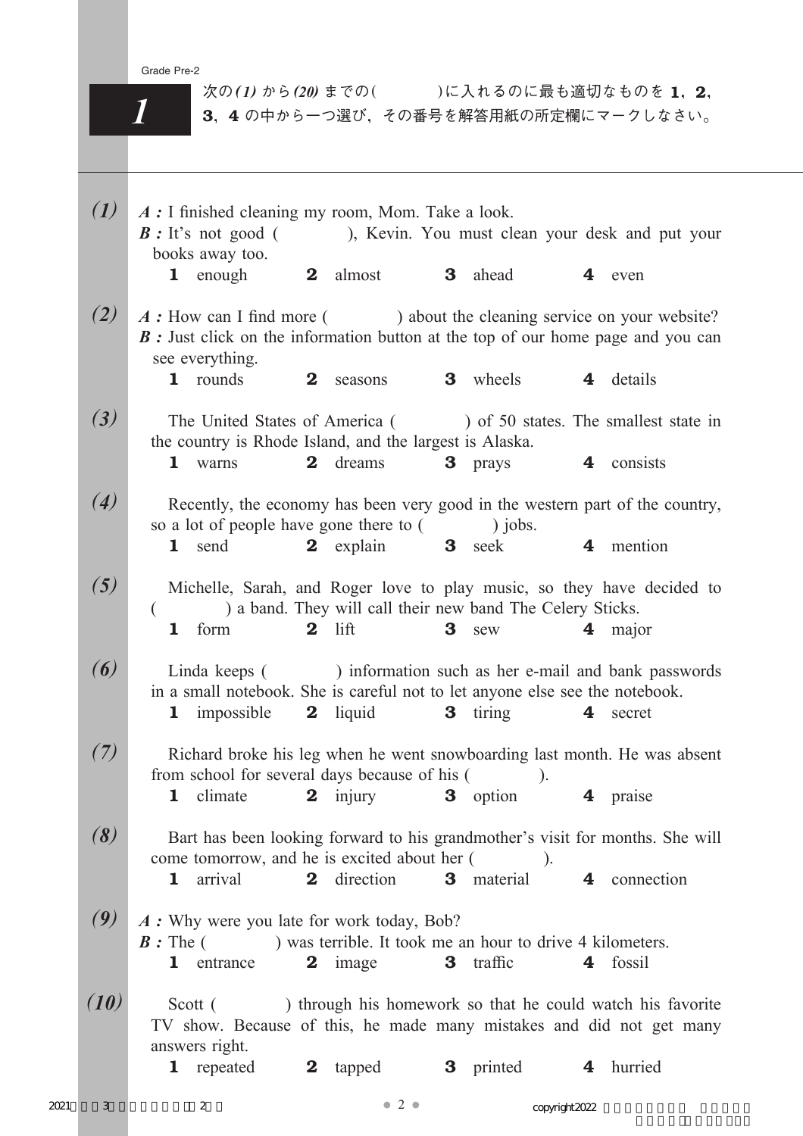| $\mathcal{L}(I)$        | A : I finished cleaning my room, Mom. Take a look.<br>$\mathbf{B}$ : It's not good (<br>books away too.                                                                             |          |                                                            |                |                       |                         | ), Kevin. You must clean your desk and put your |
|-------------------------|-------------------------------------------------------------------------------------------------------------------------------------------------------------------------------------|----------|------------------------------------------------------------|----------------|-----------------------|-------------------------|-------------------------------------------------|
|                         | <b>1</b> enough                                                                                                                                                                     |          | 2 almost                                                   |                | <b>3</b> ahead        |                         | 4 even                                          |
| (2)                     | A: How can I find more () about the cleaning service on your website?<br><b>B</b> : Just click on the information button at the top of our home page and you can<br>see everything. |          |                                                            |                |                       |                         |                                                 |
|                         | 1 rounds                                                                                                                                                                            | $\bf{2}$ | seasons                                                    |                | <b>3</b> wheels       |                         | 4 details                                       |
| (3)                     | The United States of America () of 50 states. The smallest state in<br>the country is Rhode Island, and the largest is Alaska.                                                      |          |                                                            |                |                       |                         |                                                 |
|                         | 1 warns                                                                                                                                                                             | $\bf{2}$ | dreams                                                     |                | <b>3</b> prays        | $\overline{\mathbf{4}}$ | consists                                        |
| (4)                     | Recently, the economy has been very good in the western part of the country,<br>so a lot of people have gone there to () jobs.                                                      |          |                                                            |                |                       |                         |                                                 |
|                         | 1 send                                                                                                                                                                              |          | 2 explain                                                  | 3 <sup>1</sup> | seek                  |                         | 4 mention                                       |
| (5)                     | Michelle, Sarah, and Roger love to play music, so they have decided to                                                                                                              |          | ) a band. They will call their new band The Celery Sticks. |                |                       |                         |                                                 |
|                         | form<br>1                                                                                                                                                                           |          | $2$ lift                                                   | 3              | sew                   | $\overline{4}$          | major                                           |
| $\boldsymbol{\epsilon}$ | Linda keeps () information such as her e-mail and bank passwords<br>in a small notebook. She is careful not to let anyone else see the notebook.<br><b>1</b> impossible             |          | <b>2</b> liquid                                            |                | <b>3</b> tiring       |                         | 4 secret                                        |
| (7)                     | Richard broke his leg when he went snowboarding last month. He was absent                                                                                                           |          |                                                            |                |                       |                         |                                                 |
|                         | from school for several days because of his (<br>1 climate 2 injury 3 option 4 praise                                                                                               |          |                                                            |                | $\cdot$ .             |                         |                                                 |
| (8)                     | Bart has been looking forward to his grandmother's visit for months. She will                                                                                                       |          |                                                            |                |                       |                         |                                                 |
|                         | come tomorrow, and he is excited about her (<br>arrival<br>$\mathbf{1}$                                                                                                             | $\bf{2}$ | direction                                                  |                | $\cdot$<br>3 material |                         | 4 connection                                    |
| (9)                     | A: Why were you late for work today, Bob?<br>$\mathbf{B}$ : The ( ) was terrible. It took me an hour to drive 4 kilometers.                                                         |          |                                                            |                |                       |                         |                                                 |
|                         | 1<br>entrance                                                                                                                                                                       |          | 2 image                                                    | 3 <sup>1</sup> | traffic               | $\overline{\mathbf{4}}$ | fossil                                          |
| (10)                    | Scott () through his homework so that he could watch his favorite<br>TV show. Because of this, he made many mistakes and did not get many<br>answers right.                         |          |                                                            |                |                       |                         |                                                 |
|                         | <b>1</b> repeated                                                                                                                                                                   | $\bf{2}$ | tapped                                                     |                | <b>3</b> printed      | 4                       | hurried                                         |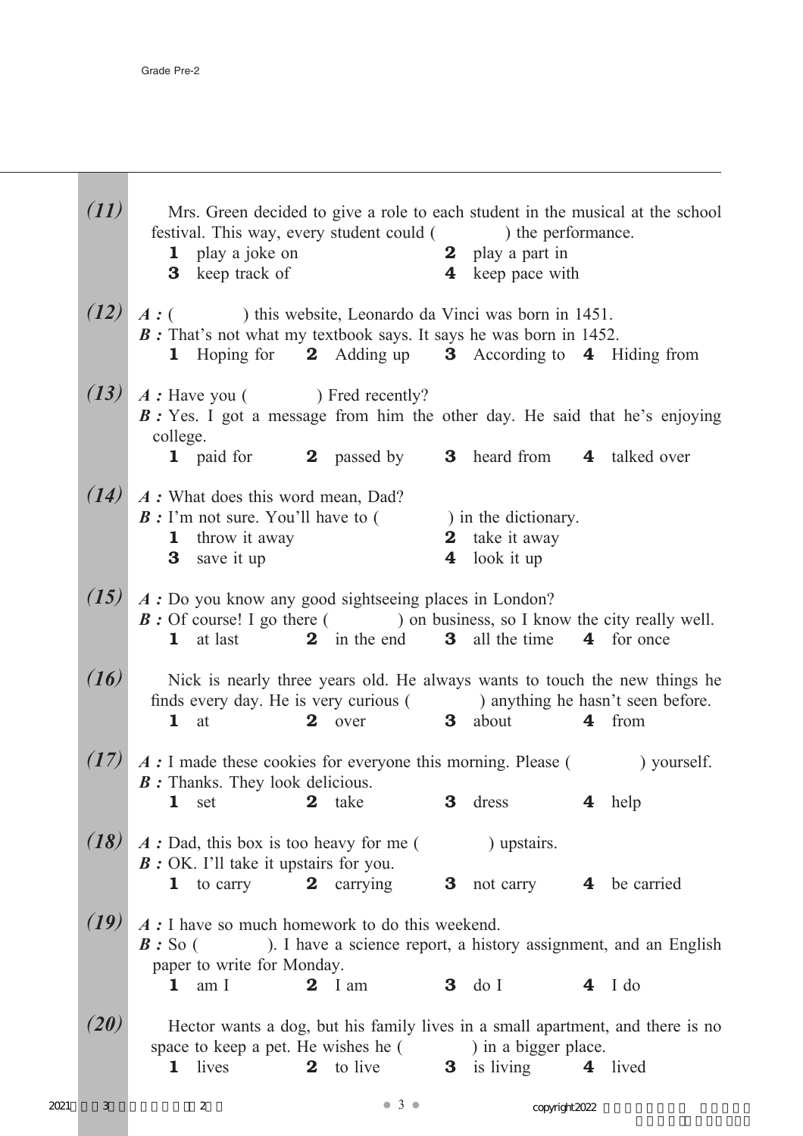|      | (11) | Mrs. Green decided to give a role to each student in the musical at the school<br>festival. This way, every student could ( ) the performance.<br><b>1</b> play a joke on<br><b>2</b> play a part in<br>4 keep pace with<br><b>3</b> keep track of             |  |
|------|------|----------------------------------------------------------------------------------------------------------------------------------------------------------------------------------------------------------------------------------------------------------------|--|
|      | (12) | $A:$ ( ) this website, Leonardo da Vinci was born in 1451.<br><b>B</b> : That's not what my textbook says. It says he was born in 1452.<br>1 Hoping for 2 Adding up 3 According to 4 Hiding from                                                               |  |
|      | (13) | A: Have you ( ) Fred recently?<br>B: Yes. I got a message from him the other day. He said that he's enjoying<br>college.<br>1 paid for 2 passed by 3 heard from 4 talked over                                                                                  |  |
|      | (14) | A : What does this word mean, Dad?<br>$\mathbf{B}$ : I'm not sure. You'll have to (<br>) in the dictionary.<br><b>1</b> throw it away<br>take it away<br>$\bf{2}$<br>$\overline{\mathbf{4}}$<br>look it up<br>3 save it up                                     |  |
|      | (15) | A: Do you know any good sightseeing places in London?<br><b>B</b> : Of course! I go there () on business, so I know the city really well.<br>2 in the end 3 all the time 4 for once<br>1 at last                                                               |  |
|      | (16) | Nick is nearly three years old. He always wants to touch the new things he<br>finds every day. He is very curious () anything he hasn't seen before.<br>2 over 3 about<br>4 from<br>$\mathbf{1}$ at                                                            |  |
|      | (17) | A : I made these cookies for everyone this morning. Please ( ) yourself.<br><b>B</b> : Thanks. They look delicious.<br>1 set 2 take 3 dress 4 help                                                                                                             |  |
|      | (18) | A: Dad, this box is too heavy for me (<br>) upstairs.<br>$B:$ OK. I'll take it upstairs for you.<br>1 to carry<br><b>2</b> carrying<br>3 not carry 4 be carried                                                                                                |  |
|      | (19) | $A:$ I have so much homework to do this weekend.<br>). I have a science report, a history assignment, and an English<br>$B:$ So (<br>paper to write for Monday.                                                                                                |  |
|      | (20) | $3$ do I<br>am I<br>$2$ I am<br>$4$ I do<br>$\mathbf{1}$<br>Hector wants a dog, but his family lives in a small apartment, and there is no<br>space to keep a pet. He wishes he () in a bigger place.<br>2 to live<br><b>3</b> is living<br>4 lived<br>1 lives |  |
| 2021 | 3    | $\bullet$ 3 $\bullet$<br>2<br>copyright 2022                                                                                                                                                                                                                   |  |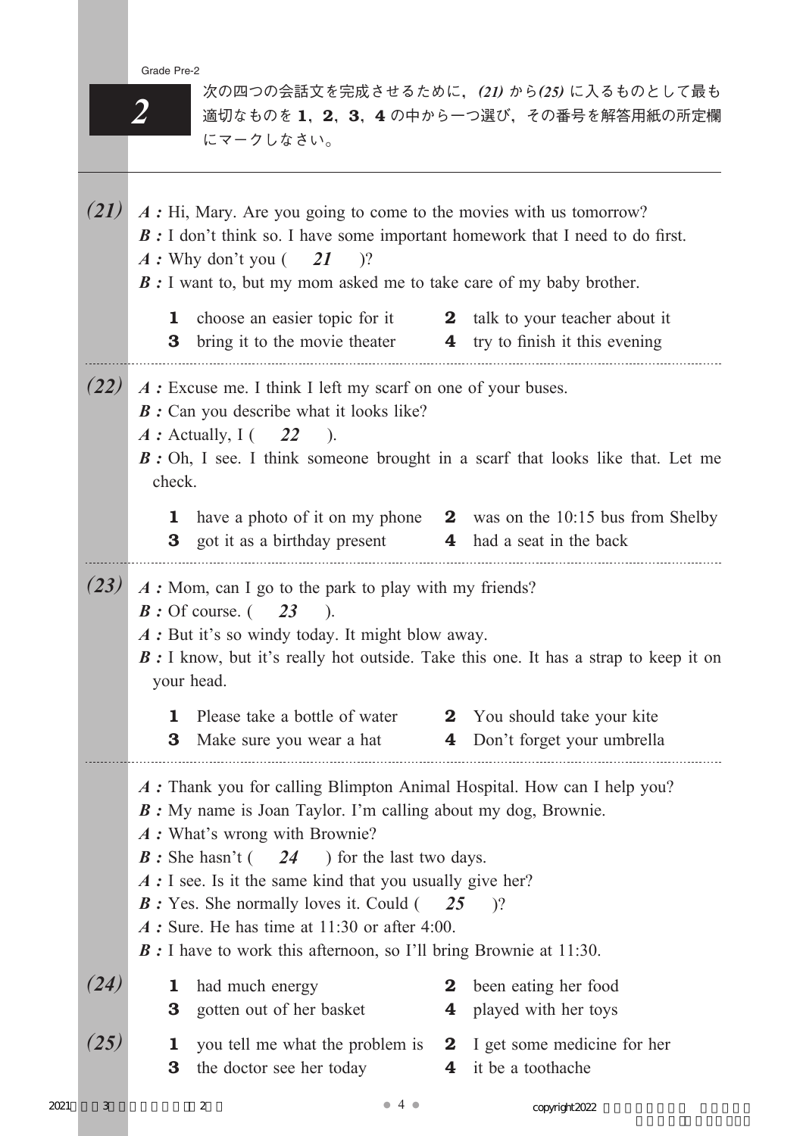*2*

次の四つの会話文を完成させるために,*(21)* から*(25)* に入るものとして最も 適切なものを1,2,3,4の中から一つ選び、その番号を解答用紙の所定欄 にマークしなさい。

*(21) A :* Hi, Mary. Are you going to come to the movies with us tomorrow? *B* : I don't think so. I have some important homework that I need to do first. *A :* Why don't you ( *21* )? *B* : I want to, but my mom asked me to take care of my baby brother. 1 choose an easier topic for it 2 talk to your teacher about it **3** bring it to the movie theater **4** try to finish it this evening *(22) A :* Excuse me. I think I left my scarf on one of your buses. *B* : Can you describe what it looks like? *A* : Actually, I ( 22 ). *B* : Oh, I see. I think someone brought in a scarf that looks like that. Let me check. 1 have a photo of it on my phone 2 was on the 10:15 bus from Shelby **3** got it as a birthday present **4** had a seat in the back *(23) A :* Mom, can I go to the park to play with my friends? *B :* Of course. ( *23* ). *A* : But it's so windy today. It might blow away. *B* : I know, but it's really hot outside. Take this one. It has a strap to keep it on your head. 1 Please take a bottle of water 2 You should take your kite **3** Make sure you wear a hat **4** Don't forget your umbrella *A :* Thank you for calling Blimpton Animal Hospital. How can I help you? *B :* My name is Joan Taylor. I'm calling about my dog, Brownie. *A :* What's wrong with Brownie? *B* : She hasn't ( *24* ) for the last two days. *A* : I see. Is it the same kind that you usually give her? *B :* Yes. She normally loves it. Could ( *25* )? *A :* Sure. He has time at 11:30 or after 4:00. *B* : I have to work this afternoon, so I'll bring Brownie at 11:30. *(24)* 1 had much energy 2 been eating her food **3** gotten out of her basket **4** played with her toys *(25)* 1 you tell me what the problem is 2 I get some medicine for her **3** the doctor see her today **4** it be a toothache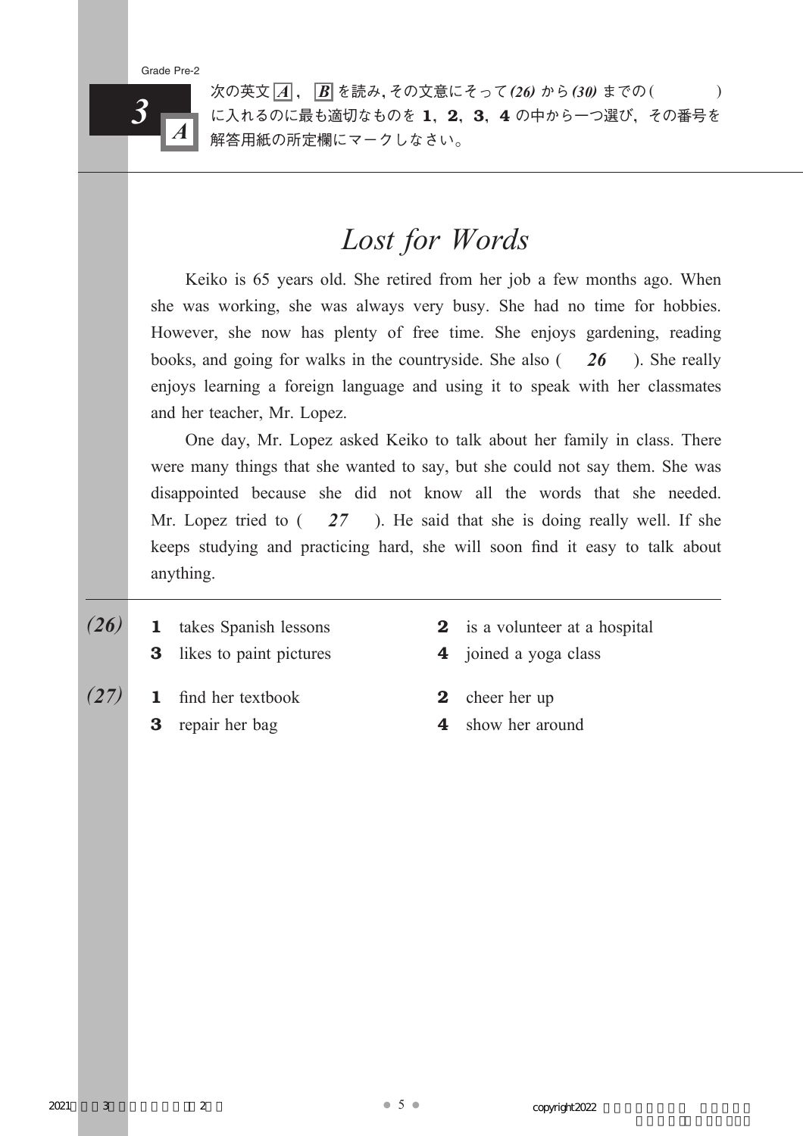

次の英文 *A* , *B* を読み,その文意にそって*(26)* から*(30)* までの( ) に入れるのに最も適切なものを 1, 2, 3, 4 の中から一つ選び, その番号を 解答用紙の所定欄にマークしなさい。

# *Lost for Words*

Keiko is 65 years old. She retired from her job a few months ago. When she was working, she was always very busy. She had no time for hobbies. However, she now has plenty of free time. She enjoys gardening, reading books, and going for walks in the countryside. She also ( *26* ). She really enjoys learning a foreign language and using it to speak with her classmates and her teacher, Mr. Lopez.

One day, Mr. Lopez asked Keiko to talk about her family in class. There were many things that she wanted to say, but she could not say them. She was disappointed because she did not know all the words that she needed. Mr. Lopez tried to ( *27* ). He said that she is doing really well. If she keeps studying and practicing hard, she will soon find it easy to talk about anything.

- $(26)$  **1** takes Spanish lessons **2** is a volunteer at a hospital **3** likes to paint pictures **4** joined a yoga class  $(27)$  1 find her textbook 2 cheer her up
	-
- 
- 3 repair her bag 4 show her around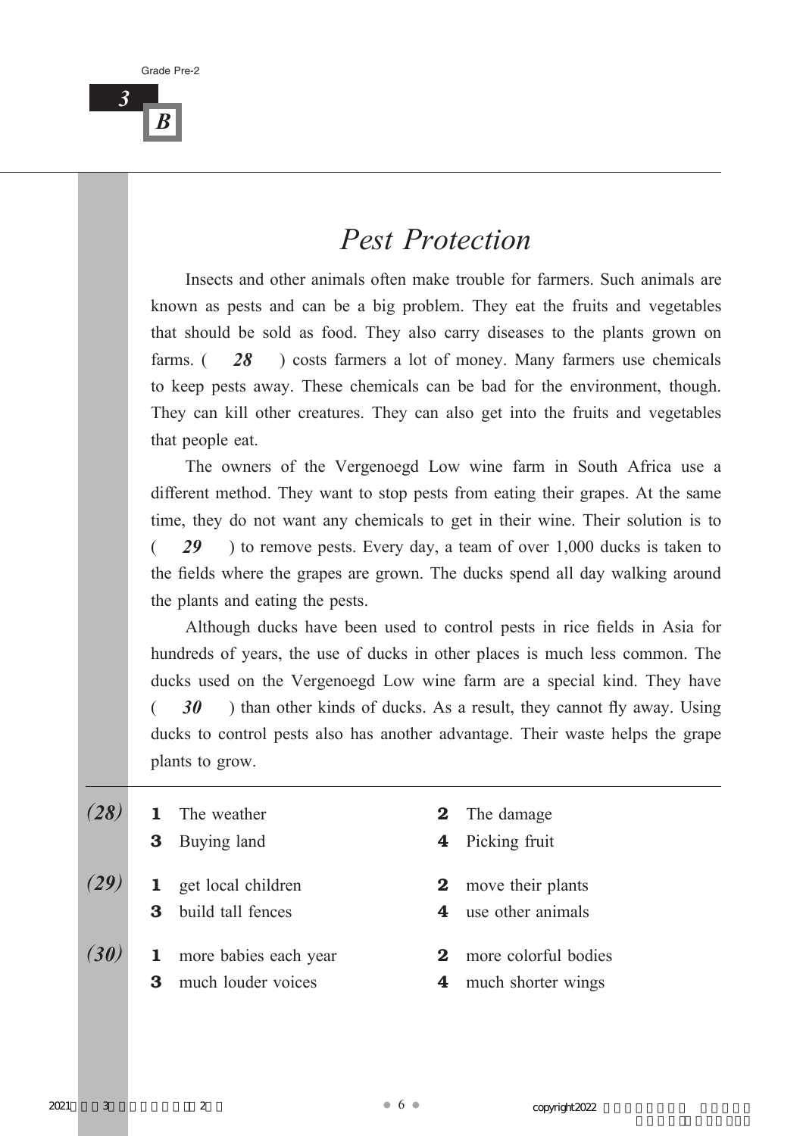*B*

## *Pest Protection*

Insects and other animals often make trouble for farmers. Such animals are known as pests and can be a big problem. They eat the fruits and vegetables that should be sold as food. They also carry diseases to the plants grown on farms. ( *28* ) costs farmers a lot of money. Many farmers use chemicals to keep pests away. These chemicals can be bad for the environment, though. They can kill other creatures. They can also get into the fruits and vegetables that people eat.

The owners of the Vergenoegd Low wine farm in South Africa use a different method. They want to stop pests from eating their grapes. At the same time, they do not want any chemicals to get in their wine. Their solution is to ( *29* ) to remove pests. Every day, a team of over 1,000 ducks is taken to the fields where the grapes are grown. The ducks spend all day walking around the plants and eating the pests.

Although ducks have been used to control pests in rice fields in Asia for hundreds of years, the use of ducks in other places is much less common. The ducks used on the Vergenoegd Low wine farm are a special kind. They have 30 ) than other kinds of ducks. As a result, they cannot fly away. Using ducks to control pests also has another advantage. Their waste helps the grape plants to grow.

|      |              | The weather                    | $\bf{2}$ | The damage                  |
|------|--------------|--------------------------------|----------|-----------------------------|
|      | $\bf{3}$     | Buying land                    | 4        | Picking fruit               |
| (29) | $\mathbf{1}$ | get local children             |          | <b>2</b> move their plants  |
|      | 3            | build tall fences              |          | 4 use other animals         |
| (30) |              | <b>1</b> more babies each year | $\bf{2}$ | more colorful bodies        |
|      | 3            | much louder voices             |          | <b>4</b> much shorter wings |
|      |              |                                |          |                             |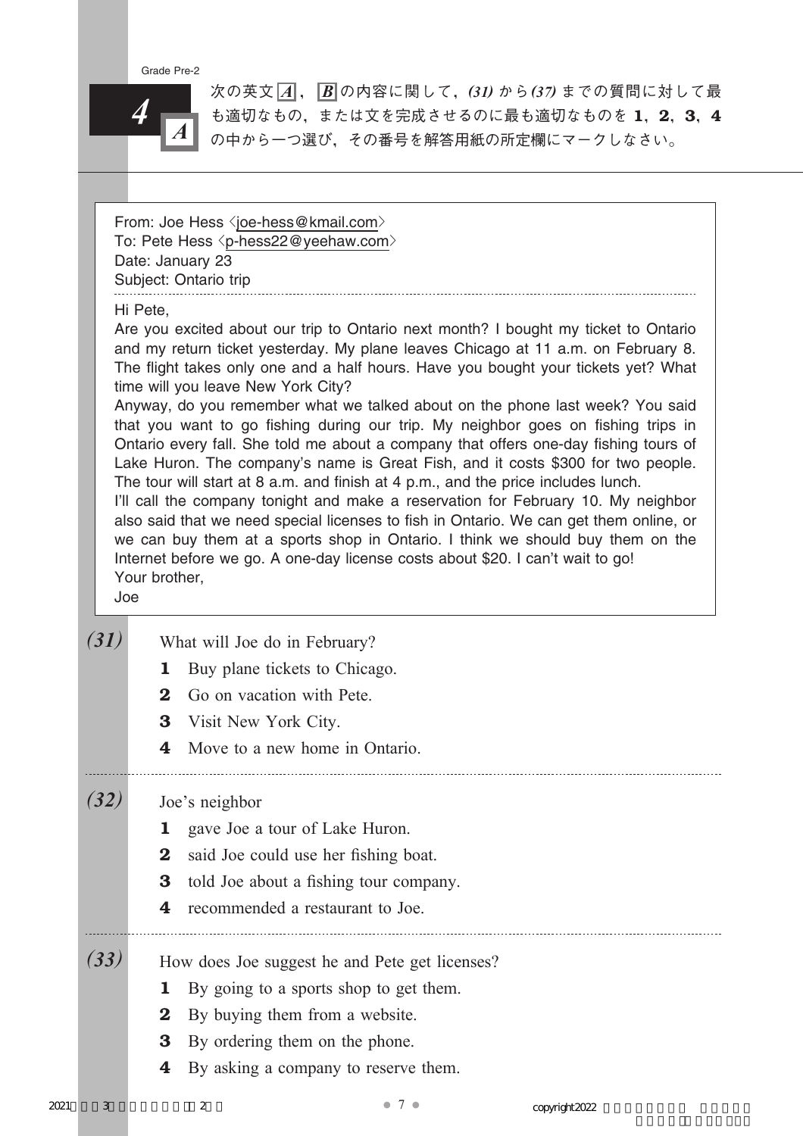

次の英文 *A* , *B* の内容に関して,*(31)* から*(37)* までの質問に対して最 も適切なもの,または文を完成させるのに最も適切なものを 1, 2, 3, 4 の中から一つ選び,その番号を解答用紙の所定欄にマークしなさい。

From: Joe Hess <joe-hess@kmail.com> To: Pete Hess <p-hess22@yeehaw.com> Date: January 23 Subject: Ontario trip

### Hi Pete,

Are you excited about our trip to Ontario next month? I bought my ticket to Ontario and my return ticket yesterday. My plane leaves Chicago at 11 a.m. on February 8. The flight takes only one and a half hours. Have you bought your tickets yet? What time will you leave New York City?

Anyway, do you remember what we talked about on the phone last week? You said that you want to go fishing during our trip. My neighbor goes on fishing trips in Ontario every fall. She told me about a company that offers one-day fishing tours of Lake Huron. The company's name is Great Fish, and it costs \$300 for two people. The tour will start at 8 a.m. and finish at 4 p.m., and the price includes lunch.

I'll call the company tonight and make a reservation for February 10. My neighbor also said that we need special licenses to fish in Ontario. We can get them online, or we can buy them at a sports shop in Ontario. I think we should buy them on the Internet before we go. A one-day license costs about \$20. I can't wait to go! Your brother,

Joe

| (31) | What will Joe do in February?<br>Buy plane tickets to Chicago.<br>1<br>Go on vacation with Pete.<br>$\mathbf 2$<br>3<br>Visit New York City.<br>Move to a new home in Ontario.<br>4                                                    |
|------|----------------------------------------------------------------------------------------------------------------------------------------------------------------------------------------------------------------------------------------|
| (32) | Joe's neighbor<br>gave Joe a tour of Lake Huron.<br>ı<br>$\bf{2}$<br>said Joe could use her fishing boat.<br>$\bf{3}$<br>told Joe about a fishing tour company.<br>4<br>recommended a restaurant to Joe.                               |
| (33) | How does Joe suggest he and Pete get licenses?<br>By going to a sports shop to get them.<br>ı<br>By buying them from a website.<br>$\bf{2}$<br>By ordering them on the phone.<br>$\bf{3}$<br>By asking a company to reserve them.<br>4 |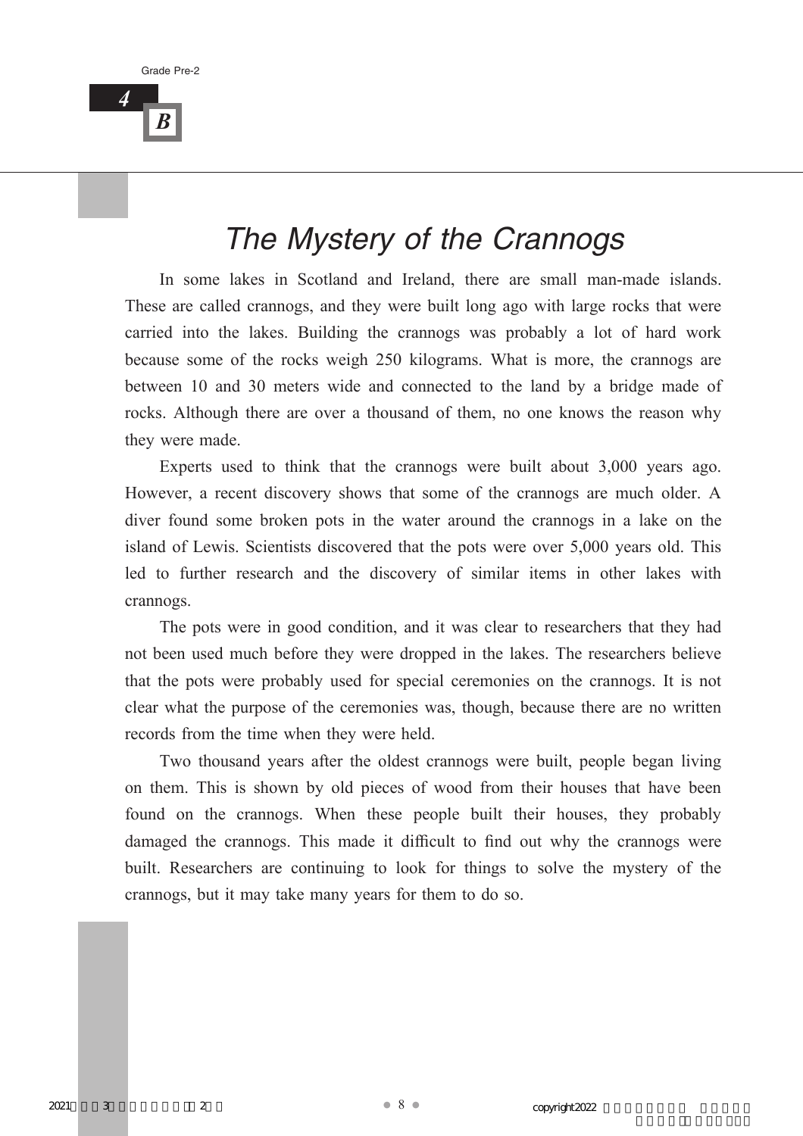*4*

# *The Mystery of the Crannogs*

In some lakes in Scotland and Ireland, there are small man-made islands. These are called crannogs, and they were built long ago with large rocks that were carried into the lakes. Building the crannogs was probably a lot of hard work because some of the rocks weigh 250 kilograms. What is more, the crannogs are between 10 and 30 meters wide and connected to the land by a bridge made of rocks. Although there are over a thousand of them, no one knows the reason why they were made.

Experts used to think that the crannogs were built about 3,000 years ago. However, a recent discovery shows that some of the crannogs are much older. A diver found some broken pots in the water around the crannogs in a lake on the island of Lewis. Scientists discovered that the pots were over 5,000 years old. This led to further research and the discovery of similar items in other lakes with crannogs.

The pots were in good condition, and it was clear to researchers that they had not been used much before they were dropped in the lakes. The researchers believe that the pots were probably used for special ceremonies on the crannogs. It is not clear what the purpose of the ceremonies was, though, because there are no written records from the time when they were held.

Two thousand years after the oldest crannogs were built, people began living on them. This is shown by old pieces of wood from their houses that have been found on the crannogs. When these people built their houses, they probably damaged the crannogs. This made it difficult to find out why the crannogs were built. Researchers are continuing to look for things to solve the mystery of the crannogs, but it may take many years for them to do so.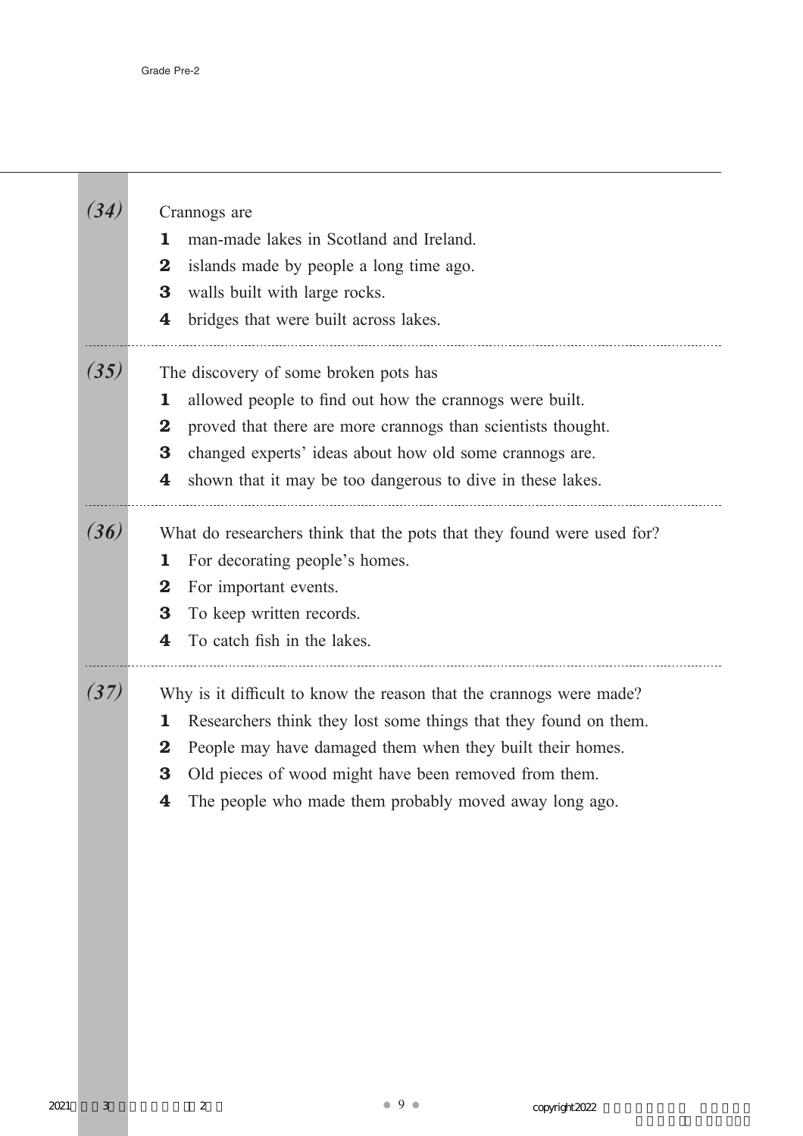<u> Tanzania (</u>

| 34)  | Crannogs are<br>man-made lakes in Scotland and Ireland.<br>ı<br>islands made by people a long time ago.<br>$\bf{2}$<br>walls built with large rocks.<br>3<br>bridges that were built across lakes.<br>4                                                                                                                                            |
|------|----------------------------------------------------------------------------------------------------------------------------------------------------------------------------------------------------------------------------------------------------------------------------------------------------------------------------------------------------|
| (35) | The discovery of some broken pots has<br>allowed people to find out how the crannogs were built.<br>1<br>proved that there are more crannogs than scientists thought.<br>$\bf{2}$<br>changed experts' ideas about how old some crannogs are.<br>3<br>shown that it may be too dangerous to dive in these lakes.<br>4                               |
| (36) | What do researchers think that the pots that they found were used for?<br>For decorating people's homes.<br>ı<br>For important events.<br>$\bf{2}$<br>To keep written records.<br>3<br>To catch fish in the lakes.<br>4                                                                                                                            |
| (37) | Why is it difficult to know the reason that the crannogs were made?<br>Researchers think they lost some things that they found on them.<br>ı<br>People may have damaged them when they built their homes.<br>$\bf{2}$<br>Old pieces of wood might have been removed from them.<br>3<br>The people who made them probably moved away long ago.<br>4 |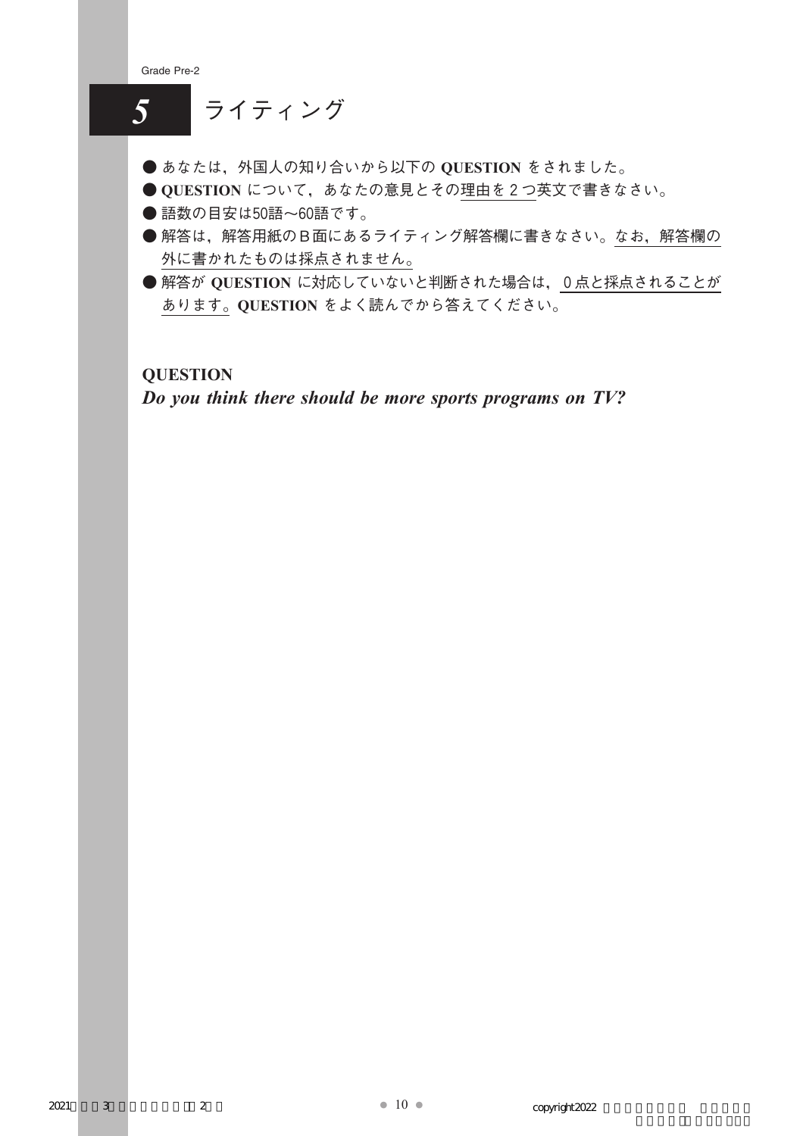

**QUESTION**

*Do you think there should be more sports programs on TV?*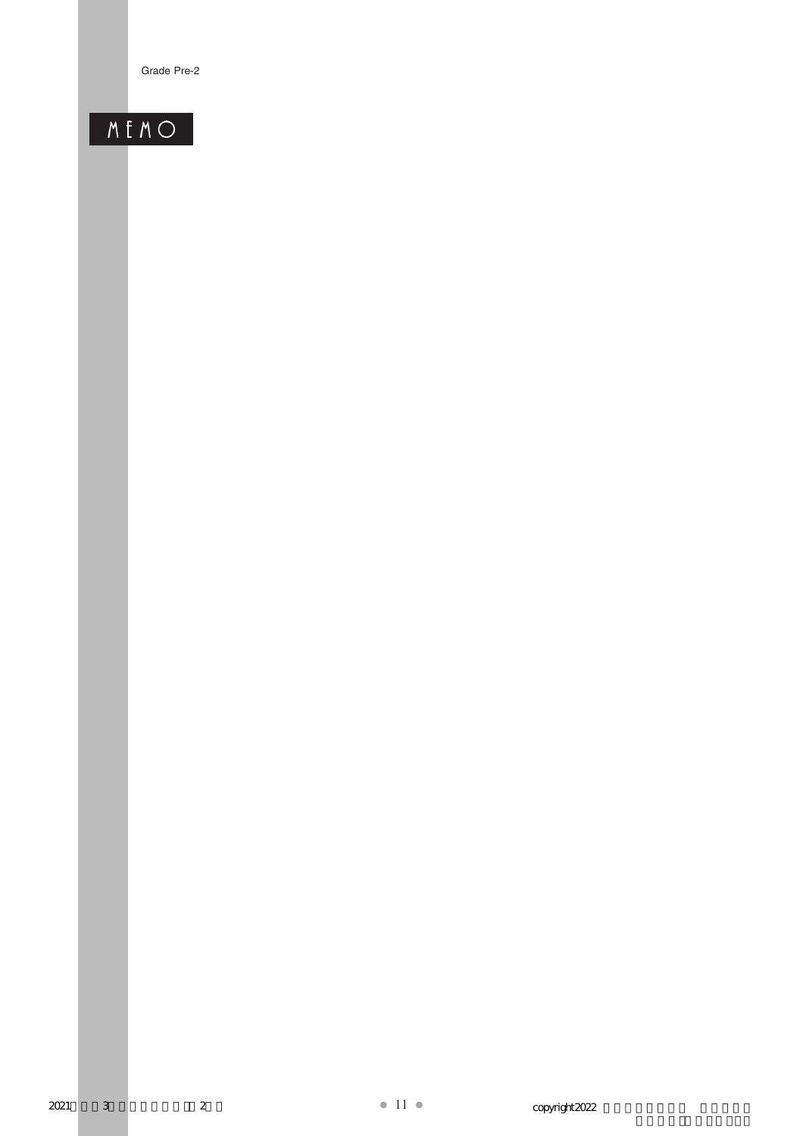# MENO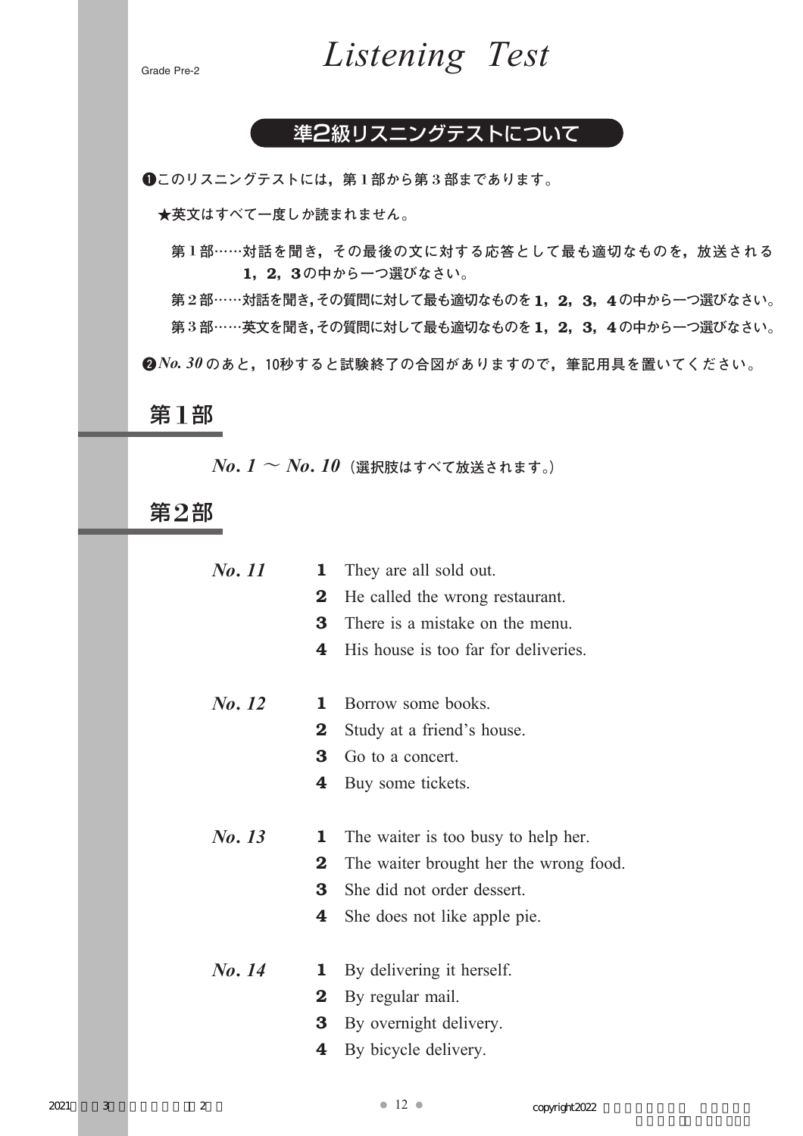

### 準2級リスニングテストについて

-**このリスニングテストには,第** 1**部から第** 3**部まであります。**

**★英文はすべて一度しか読まれません。** 

**第** 1**部……対話を聞き,その最後の文に対する応答として最も適切なものを,放送される** 1**,**2**,**3**の中から一つ選びなさい。**

**第** 2**部……対話を聞き,その質問に対して最も適切なものを**1**,**2**,**3**,**4**の中から一つ選びなさい。 第** 3**部……英文を聞き,その質問に対して最も適切なものを**1**,**2**,**3**,**4**の中から一つ選びなさい。**

**2** No. 30 のあと, 10秒すると試験終了の合図がありますので, 筆記用具を置いてください。

### 第1部

*No. 1* ~ *No. 10***(選択肢はすべて放送されます。)**

第2部

| No. 11 | 1        | They are all sold out.                 |
|--------|----------|----------------------------------------|
|        | $\bf{2}$ | He called the wrong restaurant.        |
|        | 3        | There is a mistake on the menu.        |
|        | 4        | His house is too far for deliveries.   |
|        |          |                                        |
| No. 12 | 1        | Borrow some books.                     |
|        | $\bf{2}$ | Study at a friend's house.             |
|        | 3        | Go to a concert.                       |
|        | 4        | Buy some tickets.                      |
|        |          |                                        |
| No. 13 | 1        | The waiter is too busy to help her.    |
|        | $\bf{2}$ | The waiter brought her the wrong food. |
|        | 3        | She did not order dessert.             |
|        | 4        | She does not like apple pie.           |
|        |          |                                        |
| No. 14 | 1        | By delivering it herself.              |
|        | $\bf{2}$ | By regular mail.                       |
|        | 3        | By overnight delivery.                 |
|        | 4        | By bicycle delivery.                   |
|        |          |                                        |
|        |          |                                        |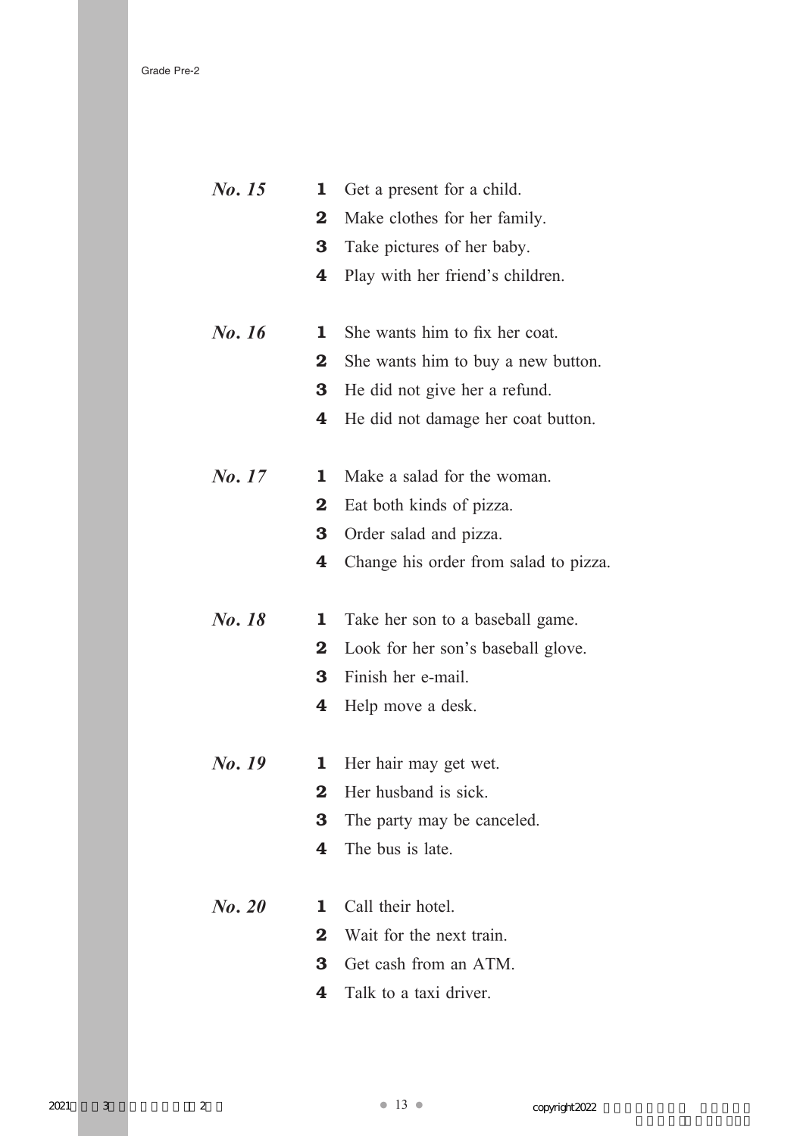| No. 15 | 1        | Get a present for a child.            |
|--------|----------|---------------------------------------|
|        | $\bf{2}$ | Make clothes for her family.          |
|        | 3        | Take pictures of her baby.            |
|        | 4        | Play with her friend's children.      |
|        |          |                                       |
| No. 16 | 1        | She wants him to fix her coat.        |
|        | $\bf{2}$ | She wants him to buy a new button.    |
|        | 3        | He did not give her a refund.         |
|        | 4        | He did not damage her coat button.    |
|        |          |                                       |
| No. 17 | 1        | Make a salad for the woman.           |
|        | $\bf{2}$ | Eat both kinds of pizza.              |
|        | 3        | Order salad and pizza.                |
|        | 4        | Change his order from salad to pizza. |
|        |          |                                       |
| No. 18 | 1        | Take her son to a baseball game.      |
|        |          |                                       |
|        | $\bf{2}$ | Look for her son's baseball glove.    |
|        | 3        | Finish her e-mail.                    |
|        | 4        | Help move a desk.                     |
|        |          |                                       |
| No. 19 | 1        | Her hair may get wet.                 |
|        | $\bf{2}$ | Her husband is sick.                  |
|        | 3        | The party may be canceled.            |
|        | 4        | The bus is late.                      |
|        |          |                                       |
| No. 20 | 1        | Call their hotel.                     |
|        | $\bf{2}$ | Wait for the next train.              |
|        | 3        | Get cash from an ATM.                 |
|        | 4        | Talk to a taxi driver.                |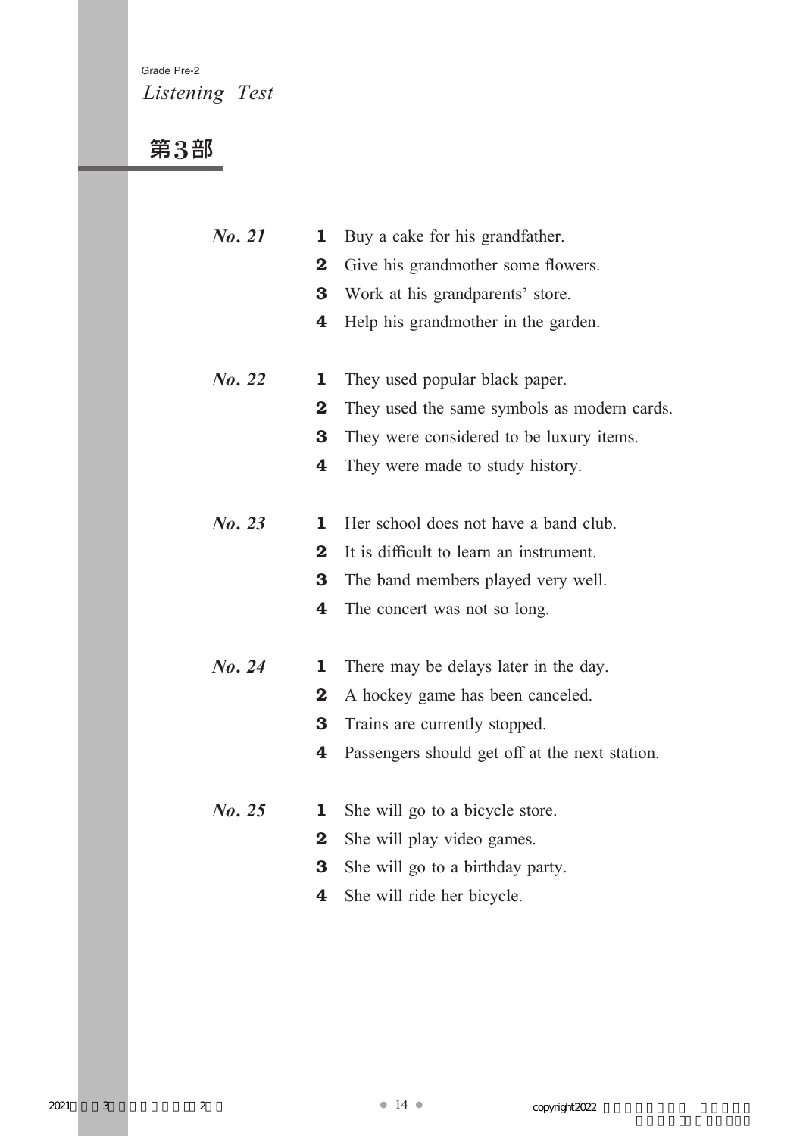### Grade Pre-2 *Listening Test*

## 第3部

| No. 21 | 1                       | Buy a cake for his grandfather.                |
|--------|-------------------------|------------------------------------------------|
|        | $\bf{2}$                | Give his grandmother some flowers.             |
|        | 3                       | Work at his grandparents' store.               |
|        | 4                       | Help his grand mother in the garden.           |
|        |                         |                                                |
| No. 22 | 1                       | They used popular black paper.                 |
|        | $\bf{2}$                | They used the same symbols as modern cards.    |
|        | 3                       | They were considered to be luxury items.       |
|        | 4                       | They were made to study history.               |
|        |                         |                                                |
| No. 23 | 1                       | Her school does not have a band club.          |
|        | $\bf{2}$                | It is difficult to learn an instrument.        |
|        | 3                       | The band members played very well.             |
|        | 4                       | The concert was not so long.                   |
|        |                         |                                                |
| No. 24 | 1                       | There may be delays later in the day.          |
|        | $\bf{2}$                | A hockey game has been canceled.               |
|        | 3                       | Trains are currently stopped.                  |
|        | 4                       | Passengers should get off at the next station. |
|        |                         |                                                |
| No. 25 | ı                       | She will go to a bicycle store.                |
|        | $\overline{\mathbf{2}}$ | She will play video games.                     |
|        | 3                       | She will go to a birthday party.               |
|        | 4                       | She will ride her bicycle.                     |
|        |                         |                                                |
|        |                         |                                                |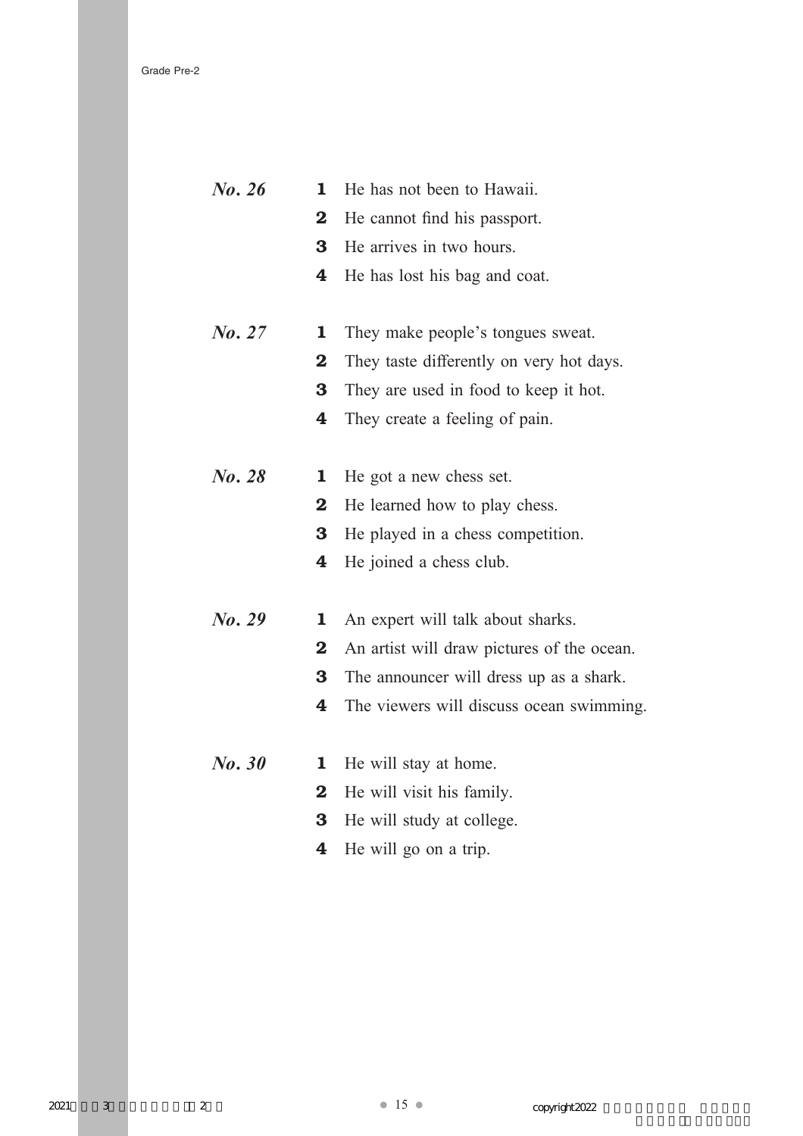| No. 26 | 1                       | He has not been to Hawaii.                 |
|--------|-------------------------|--------------------------------------------|
|        | $\overline{\mathbf{2}}$ | He cannot find his passport.               |
|        | 3                       | He arrives in two hours.                   |
|        | 4                       | He has lost his bag and coat.              |
| No. 27 | $\mathbf 1$             | They make people's tongues sweat.          |
|        | $\bf{2}$                | They taste differently on very hot days.   |
|        | 3                       | They are used in food to keep it hot.      |
|        | 4                       | They create a feeling of pain.             |
| No. 28 | 1                       | He got a new chess set.                    |
|        | $\bf{2}$                | He learned how to play chess.              |
|        | 3                       | He played in a chess competition.          |
|        | 4                       | He joined a chess club.                    |
| No. 29 | 1                       | An expert will talk about sharks.          |
|        | $\overline{\mathbf{2}}$ | An artist will draw pictures of the ocean. |
|        | 3                       | The announcer will dress up as a shark.    |
|        | 4                       | The viewers will discuss ocean swimming.   |
| No. 30 | 1                       | He will stay at home.                      |
|        | $\bf{2}$                | He will visit his family.                  |
|        | 3                       | He will study at college.                  |
|        | 4                       | He will go on a trip.                      |
|        |                         |                                            |